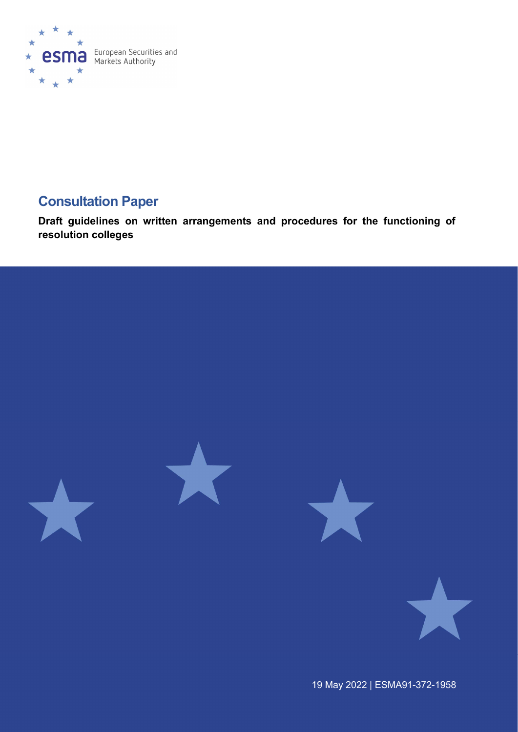

# Consultation Paper

Draft guidelines on written arrangements and procedures for the functioning of resolution colleges



19 May 2022 | ESMA91-372-1958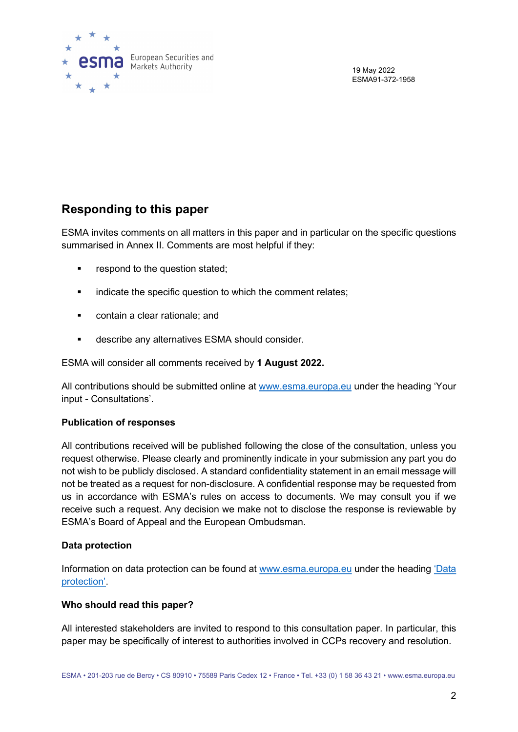

19 May 2022 ESMA91-372-1958

# Responding to this paper

ESMA invites comments on all matters in this paper and in particular on the specific questions summarised in Annex II. Comments are most helpful if they:

- **•** respond to the question stated:
- **EXECT** indicate the specific question to which the comment relates:
- **•** contain a clear rationale; and
- describe any alternatives ESMA should consider.

ESMA will consider all comments received by 1 August 2022.

All contributions should be submitted online at www.esma.europa.eu under the heading 'Your input - Consultations'.

### Publication of responses

All contributions received will be published following the close of the consultation, unless you request otherwise. Please clearly and prominently indicate in your submission any part you do not wish to be publicly disclosed. A standard confidentiality statement in an email message will not be treated as a request for non-disclosure. A confidential response may be requested from us in accordance with ESMA's rules on access to documents. We may consult you if we receive such a request. Any decision we make not to disclose the response is reviewable by ESMA's Board of Appeal and the European Ombudsman.

#### Data protection

Information on data protection can be found at www.esma.europa.eu under the heading 'Data protection'.

#### Who should read this paper?

All interested stakeholders are invited to respond to this consultation paper. In particular, this paper may be specifically of interest to authorities involved in CCPs recovery and resolution.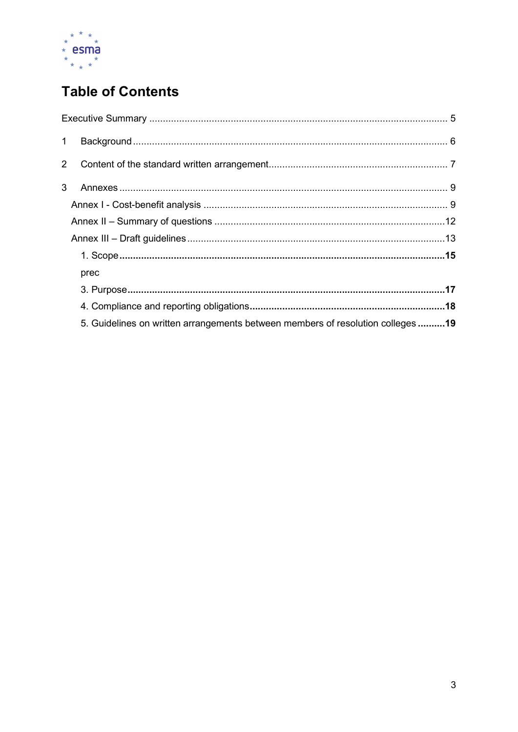

# **Table of Contents**

| prec                                                                           |  |
|--------------------------------------------------------------------------------|--|
|                                                                                |  |
|                                                                                |  |
| 5. Guidelines on written arrangements between members of resolution colleges19 |  |
|                                                                                |  |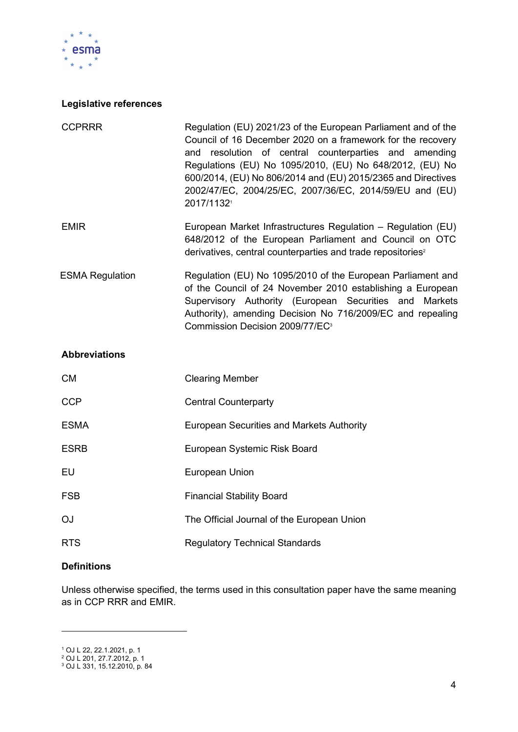

## Legislative references

| <b>CCPRRR</b>          | Regulation (EU) 2021/23 of the European Parliament and of the<br>Council of 16 December 2020 on a framework for the recovery<br>and resolution of central counterparties and amending<br>Regulations (EU) No 1095/2010, (EU) No 648/2012, (EU) No<br>600/2014, (EU) No 806/2014 and (EU) 2015/2365 and Directives<br>2002/47/EC, 2004/25/EC, 2007/36/EC, 2014/59/EU and (EU)<br>2017/1132 |
|------------------------|-------------------------------------------------------------------------------------------------------------------------------------------------------------------------------------------------------------------------------------------------------------------------------------------------------------------------------------------------------------------------------------------|
| <b>EMIR</b>            | European Market Infrastructures Regulation - Regulation (EU)<br>648/2012 of the European Parliament and Council on OTC<br>derivatives, central counterparties and trade repositories <sup>2</sup>                                                                                                                                                                                         |
| <b>ESMA Regulation</b> | Regulation (EU) No 1095/2010 of the European Parliament and<br>of the Council of 24 November 2010 establishing a European<br>Supervisory Authority (European Securities and Markets<br>Authority), amending Decision No 716/2009/EC and repealing<br>Commission Decision 2009/77/EC <sup>3</sup>                                                                                          |

#### Abbreviations

| CM          | <b>Clearing Member</b>                           |
|-------------|--------------------------------------------------|
| <b>CCP</b>  | <b>Central Counterparty</b>                      |
| <b>ESMA</b> | <b>European Securities and Markets Authority</b> |
| <b>ESRB</b> | European Systemic Risk Board                     |
| EU          | European Union                                   |
| <b>FSB</b>  | <b>Financial Stability Board</b>                 |
| OJ          | The Official Journal of the European Union       |
| <b>RTS</b>  | <b>Regulatory Technical Standards</b>            |

 $\overline{\phantom{0}}$ 

### **Definitions**

Unless otherwise specified, the terms used in this consultation paper have the same meaning as in CCP RRR and EMIR.

<sup>1</sup> OJ L 22, 22.1.2021, p. 1 2 OJ L 201, 27.7.2012, p. 1 3 OJ L 331, 15.12.2010, p. 84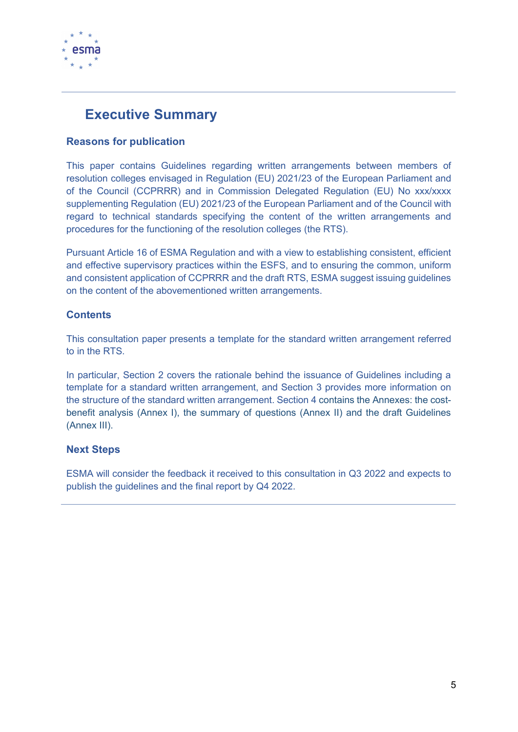

# Executive Summary

## Reasons for publication

This paper contains Guidelines regarding written arrangements between members of resolution colleges envisaged in Regulation (EU) 2021/23 of the European Parliament and of the Council (CCPRRR) and in Commission Delegated Regulation (EU) No xxx/xxxx supplementing Regulation (EU) 2021/23 of the European Parliament and of the Council with regard to technical standards specifying the content of the written arrangements and procedures for the functioning of the resolution colleges (the RTS).

Pursuant Article 16 of ESMA Regulation and with a view to establishing consistent, efficient and effective supervisory practices within the ESFS, and to ensuring the common, uniform and consistent application of CCPRRR and the draft RTS, ESMA suggest issuing guidelines on the content of the abovementioned written arrangements.

## **Contents**

This consultation paper presents a template for the standard written arrangement referred to in the RTS.

In particular, Section 2 covers the rationale behind the issuance of Guidelines including a template for a standard written arrangement, and Section 3 provides more information on the structure of the standard written arrangement. Section 4 contains the Annexes: the costbenefit analysis (Annex I), the summary of questions (Annex II) and the draft Guidelines (Annex III).

### Next Steps

ESMA will consider the feedback it received to this consultation in Q3 2022 and expects to publish the guidelines and the final report by Q4 2022.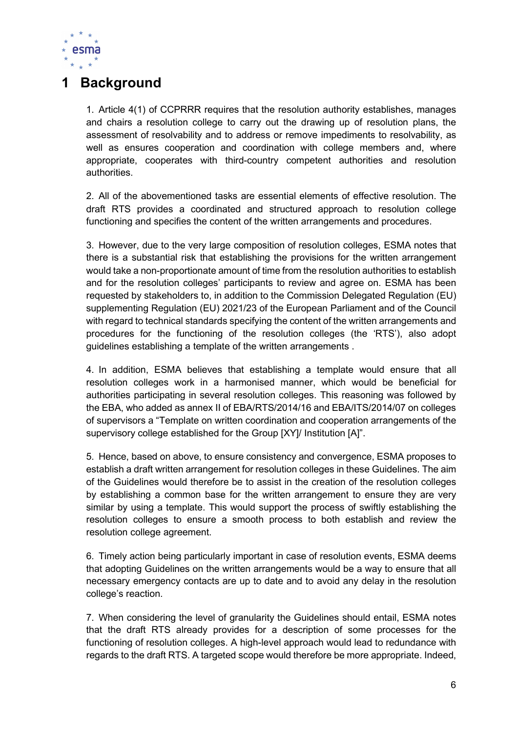

# 1 Background

1. Article 4(1) of CCPRRR requires that the resolution authority establishes, manages and chairs a resolution college to carry out the drawing up of resolution plans, the assessment of resolvability and to address or remove impediments to resolvability, as well as ensures cooperation and coordination with college members and, where appropriate, cooperates with third-country competent authorities and resolution authorities.

2. All of the abovementioned tasks are essential elements of effective resolution. The draft RTS provides a coordinated and structured approach to resolution college functioning and specifies the content of the written arrangements and procedures.

3. However, due to the very large composition of resolution colleges, ESMA notes that there is a substantial risk that establishing the provisions for the written arrangement would take a non-proportionate amount of time from the resolution authorities to establish and for the resolution colleges' participants to review and agree on. ESMA has been requested by stakeholders to, in addition to the Commission Delegated Regulation (EU) supplementing Regulation (EU) 2021/23 of the European Parliament and of the Council with regard to technical standards specifying the content of the written arrangements and procedures for the functioning of the resolution colleges (the 'RTS'), also adopt guidelines establishing a template of the written arrangements .

4. In addition, ESMA believes that establishing a template would ensure that all resolution colleges work in a harmonised manner, which would be beneficial for authorities participating in several resolution colleges. This reasoning was followed by the EBA, who added as annex II of EBA/RTS/2014/16 and EBA/ITS/2014/07 on colleges of supervisors a "Template on written coordination and cooperation arrangements of the supervisory college established for the Group [XY]/ Institution [A]".

5. Hence, based on above, to ensure consistency and convergence, ESMA proposes to establish a draft written arrangement for resolution colleges in these Guidelines. The aim of the Guidelines would therefore be to assist in the creation of the resolution colleges by establishing a common base for the written arrangement to ensure they are very similar by using a template. This would support the process of swiftly establishing the resolution colleges to ensure a smooth process to both establish and review the resolution college agreement.

6. Timely action being particularly important in case of resolution events, ESMA deems that adopting Guidelines on the written arrangements would be a way to ensure that all necessary emergency contacts are up to date and to avoid any delay in the resolution college's reaction.

7. When considering the level of granularity the Guidelines should entail, ESMA notes that the draft RTS already provides for a description of some processes for the functioning of resolution colleges. A high-level approach would lead to redundance with regards to the draft RTS. A targeted scope would therefore be more appropriate. Indeed,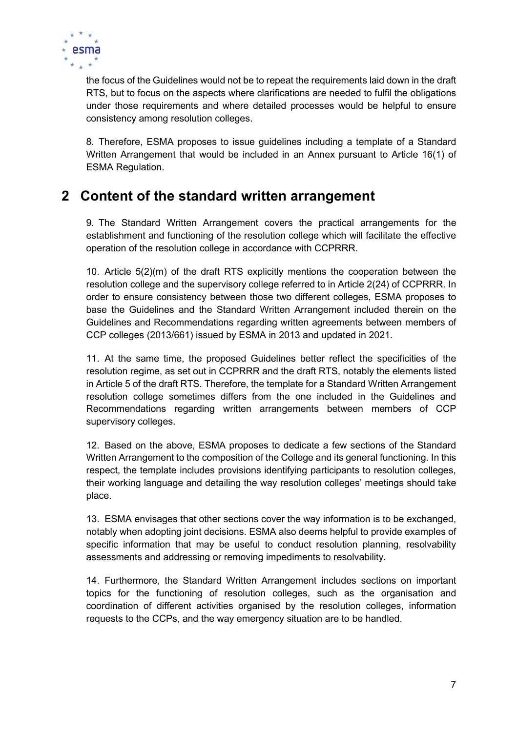

the focus of the Guidelines would not be to repeat the requirements laid down in the draft RTS, but to focus on the aspects where clarifications are needed to fulfil the obligations under those requirements and where detailed processes would be helpful to ensure consistency among resolution colleges.

8. Therefore, ESMA proposes to issue guidelines including a template of a Standard Written Arrangement that would be included in an Annex pursuant to Article 16(1) of ESMA Regulation.

# 2 Content of the standard written arrangement

9. The Standard Written Arrangement covers the practical arrangements for the establishment and functioning of the resolution college which will facilitate the effective operation of the resolution college in accordance with CCPRRR.

10. Article 5(2)(m) of the draft RTS explicitly mentions the cooperation between the resolution college and the supervisory college referred to in Article 2(24) of CCPRRR. In order to ensure consistency between those two different colleges, ESMA proposes to base the Guidelines and the Standard Written Arrangement included therein on the Guidelines and Recommendations regarding written agreements between members of CCP colleges (2013/661) issued by ESMA in 2013 and updated in 2021.

11. At the same time, the proposed Guidelines better reflect the specificities of the resolution regime, as set out in CCPRRR and the draft RTS, notably the elements listed in Article 5 of the draft RTS. Therefore, the template for a Standard Written Arrangement resolution college sometimes differs from the one included in the Guidelines and Recommendations regarding written arrangements between members of CCP supervisory colleges.

12. Based on the above, ESMA proposes to dedicate a few sections of the Standard Written Arrangement to the composition of the College and its general functioning. In this respect, the template includes provisions identifying participants to resolution colleges, their working language and detailing the way resolution colleges' meetings should take place.

13. ESMA envisages that other sections cover the way information is to be exchanged, notably when adopting joint decisions. ESMA also deems helpful to provide examples of specific information that may be useful to conduct resolution planning, resolvability assessments and addressing or removing impediments to resolvability.

14. Furthermore, the Standard Written Arrangement includes sections on important topics for the functioning of resolution colleges, such as the organisation and coordination of different activities organised by the resolution colleges, information requests to the CCPs, and the way emergency situation are to be handled.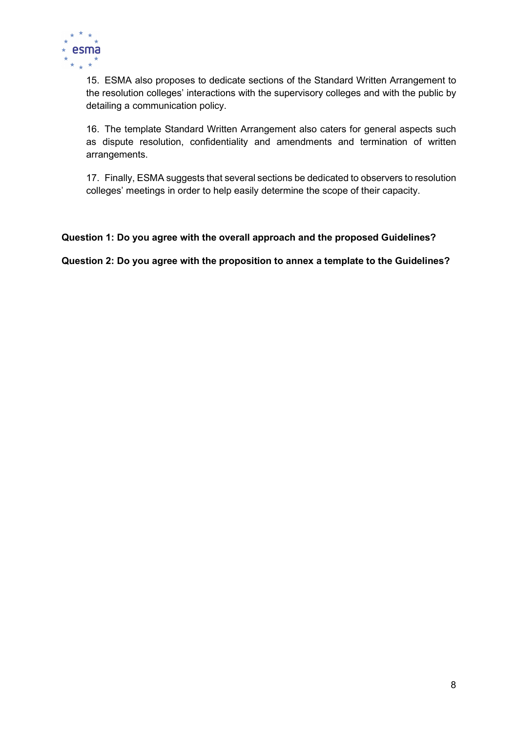

15. ESMA also proposes to dedicate sections of the Standard Written Arrangement to the resolution colleges' interactions with the supervisory colleges and with the public by detailing a communication policy.

16. The template Standard Written Arrangement also caters for general aspects such as dispute resolution, confidentiality and amendments and termination of written arrangements.

17. Finally, ESMA suggests that several sections be dedicated to observers to resolution colleges' meetings in order to help easily determine the scope of their capacity.

### Question 1: Do you agree with the overall approach and the proposed Guidelines?

Question 2: Do you agree with the proposition to annex a template to the Guidelines?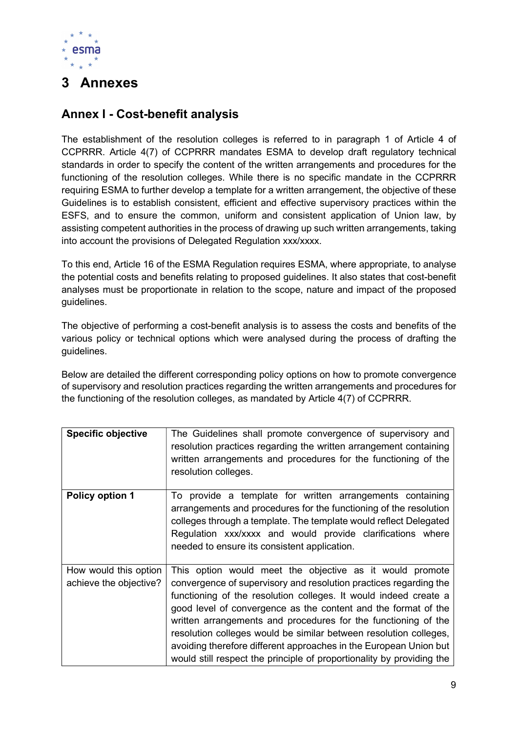

# 3 Annexes

## Annex I - Cost-benefit analysis

The establishment of the resolution colleges is referred to in paragraph 1 of Article 4 of CCPRRR. Article 4(7) of CCPRRR mandates ESMA to develop draft regulatory technical standards in order to specify the content of the written arrangements and procedures for the functioning of the resolution colleges. While there is no specific mandate in the CCPRRR requiring ESMA to further develop a template for a written arrangement, the objective of these Guidelines is to establish consistent, efficient and effective supervisory practices within the ESFS, and to ensure the common, uniform and consistent application of Union law, by assisting competent authorities in the process of drawing up such written arrangements, taking into account the provisions of Delegated Regulation xxx/xxxx.

To this end, Article 16 of the ESMA Regulation requires ESMA, where appropriate, to analyse the potential costs and benefits relating to proposed guidelines. It also states that cost-benefit analyses must be proportionate in relation to the scope, nature and impact of the proposed guidelines.

The objective of performing a cost-benefit analysis is to assess the costs and benefits of the various policy or technical options which were analysed during the process of drafting the guidelines.

Below are detailed the different corresponding policy options on how to promote convergence of supervisory and resolution practices regarding the written arrangements and procedures for the functioning of the resolution colleges, as mandated by Article 4(7) of CCPRRR.

| <b>Specific objective</b>                       | The Guidelines shall promote convergence of supervisory and<br>resolution practices regarding the written arrangement containing<br>written arrangements and procedures for the functioning of the<br>resolution colleges.                                                                                                                                                                                                                                                                                                                               |
|-------------------------------------------------|----------------------------------------------------------------------------------------------------------------------------------------------------------------------------------------------------------------------------------------------------------------------------------------------------------------------------------------------------------------------------------------------------------------------------------------------------------------------------------------------------------------------------------------------------------|
| Policy option 1                                 | To provide a template for written arrangements containing<br>arrangements and procedures for the functioning of the resolution<br>colleges through a template. The template would reflect Delegated<br>Regulation xxx/xxxx and would provide clarifications where<br>needed to ensure its consistent application.                                                                                                                                                                                                                                        |
| How would this option<br>achieve the objective? | This option would meet the objective as it would promote<br>convergence of supervisory and resolution practices regarding the<br>functioning of the resolution colleges. It would indeed create a<br>good level of convergence as the content and the format of the<br>written arrangements and procedures for the functioning of the<br>resolution colleges would be similar between resolution colleges,<br>avoiding therefore different approaches in the European Union but<br>would still respect the principle of proportionality by providing the |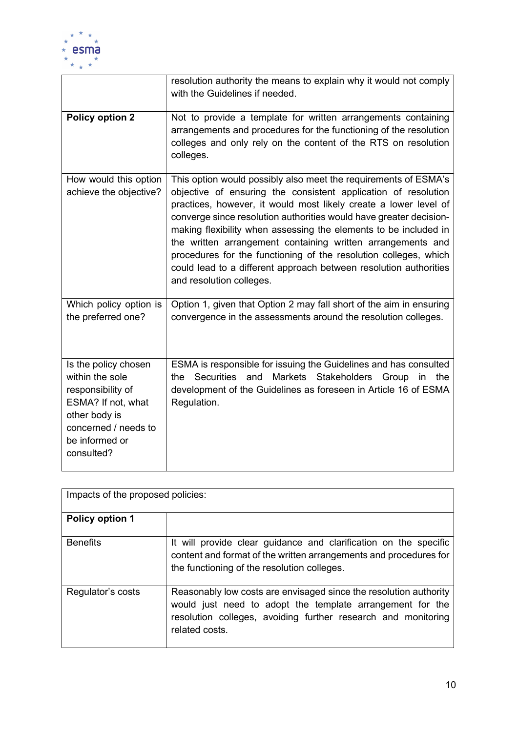

|                                                                                                                                                             | resolution authority the means to explain why it would not comply<br>with the Guidelines if needed.                                                                                                                                                                                                                                                                                                                                                                                                                                                                                 |
|-------------------------------------------------------------------------------------------------------------------------------------------------------------|-------------------------------------------------------------------------------------------------------------------------------------------------------------------------------------------------------------------------------------------------------------------------------------------------------------------------------------------------------------------------------------------------------------------------------------------------------------------------------------------------------------------------------------------------------------------------------------|
| <b>Policy option 2</b>                                                                                                                                      | Not to provide a template for written arrangements containing<br>arrangements and procedures for the functioning of the resolution<br>colleges and only rely on the content of the RTS on resolution<br>colleges.                                                                                                                                                                                                                                                                                                                                                                   |
| How would this option<br>achieve the objective?                                                                                                             | This option would possibly also meet the requirements of ESMA's<br>objective of ensuring the consistent application of resolution<br>practices, however, it would most likely create a lower level of<br>converge since resolution authorities would have greater decision-<br>making flexibility when assessing the elements to be included in<br>the written arrangement containing written arrangements and<br>procedures for the functioning of the resolution colleges, which<br>could lead to a different approach between resolution authorities<br>and resolution colleges. |
| Which policy option is<br>the preferred one?                                                                                                                | Option 1, given that Option 2 may fall short of the aim in ensuring<br>convergence in the assessments around the resolution colleges.                                                                                                                                                                                                                                                                                                                                                                                                                                               |
| Is the policy chosen<br>within the sole<br>responsibility of<br>ESMA? If not, what<br>other body is<br>concerned / needs to<br>be informed or<br>consulted? | ESMA is responsible for issuing the Guidelines and has consulted<br>Securities<br>and Markets Stakeholders Group<br>in the<br>the<br>development of the Guidelines as foreseen in Article 16 of ESMA<br>Regulation.                                                                                                                                                                                                                                                                                                                                                                 |

| Impacts of the proposed policies: |                                                                                                                                                                                                                   |  |
|-----------------------------------|-------------------------------------------------------------------------------------------------------------------------------------------------------------------------------------------------------------------|--|
| <b>Policy option 1</b>            |                                                                                                                                                                                                                   |  |
| <b>Benefits</b>                   | It will provide clear guidance and clarification on the specific<br>content and format of the written arrangements and procedures for<br>the functioning of the resolution colleges.                              |  |
| Regulator's costs                 | Reasonably low costs are envisaged since the resolution authority<br>would just need to adopt the template arrangement for the<br>resolution colleges, avoiding further research and monitoring<br>related costs. |  |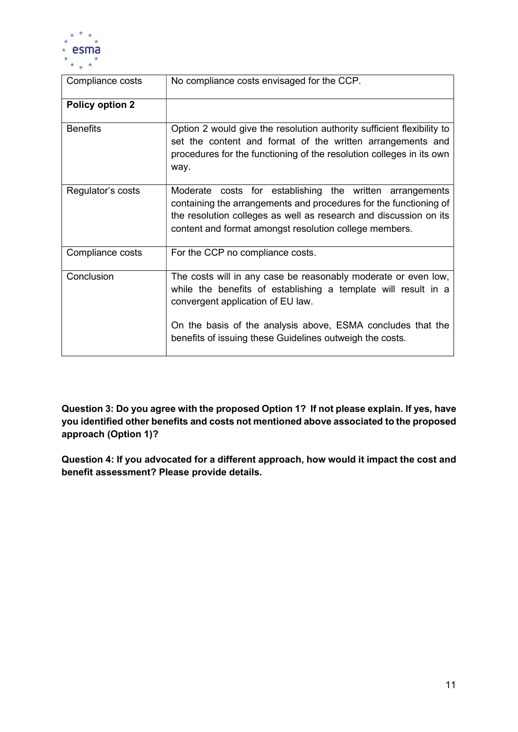

| Compliance costs       | No compliance costs envisaged for the CCP.                                                                                                                                                                                                                   |
|------------------------|--------------------------------------------------------------------------------------------------------------------------------------------------------------------------------------------------------------------------------------------------------------|
| <b>Policy option 2</b> |                                                                                                                                                                                                                                                              |
| <b>Benefits</b>        | Option 2 would give the resolution authority sufficient flexibility to<br>set the content and format of the written arrangements and<br>procedures for the functioning of the resolution colleges in its own<br>way.                                         |
| Regulator's costs      | Moderate costs for establishing the written arrangements<br>containing the arrangements and procedures for the functioning of<br>the resolution colleges as well as research and discussion on its<br>content and format amongst resolution college members. |
| Compliance costs       | For the CCP no compliance costs.                                                                                                                                                                                                                             |
| Conclusion             | The costs will in any case be reasonably moderate or even low,<br>while the benefits of establishing a template will result in a<br>convergent application of EU law.<br>On the basis of the analysis above, ESMA concludes that the                         |
|                        | benefits of issuing these Guidelines outweigh the costs.                                                                                                                                                                                                     |

Question 3: Do you agree with the proposed Option 1? If not please explain. If yes, have you identified other benefits and costs not mentioned above associated to the proposed approach (Option 1)?

Question 4: If you advocated for a different approach, how would it impact the cost and benefit assessment? Please provide details.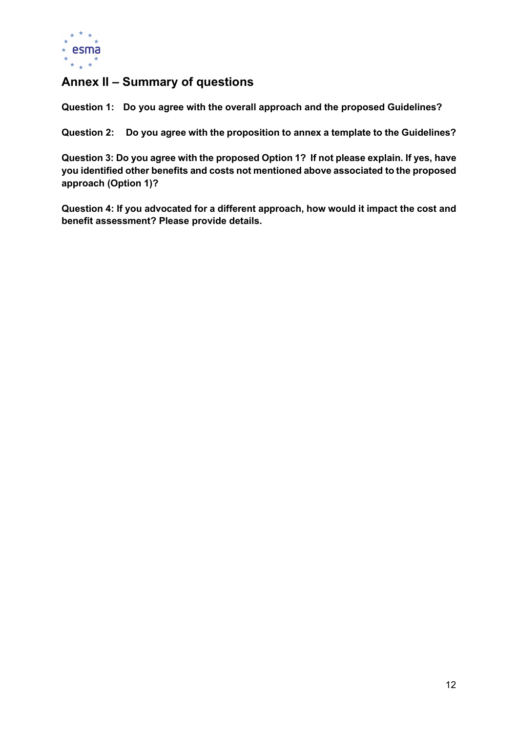

# Annex II – Summary of questions

Question 1: Do you agree with the overall approach and the proposed Guidelines?

Question 2: Do you agree with the proposition to annex a template to the Guidelines?

Question 3: Do you agree with the proposed Option 1? If not please explain. If yes, have you identified other benefits and costs not mentioned above associated to the proposed approach (Option 1)?

Question 4: If you advocated for a different approach, how would it impact the cost and benefit assessment? Please provide details.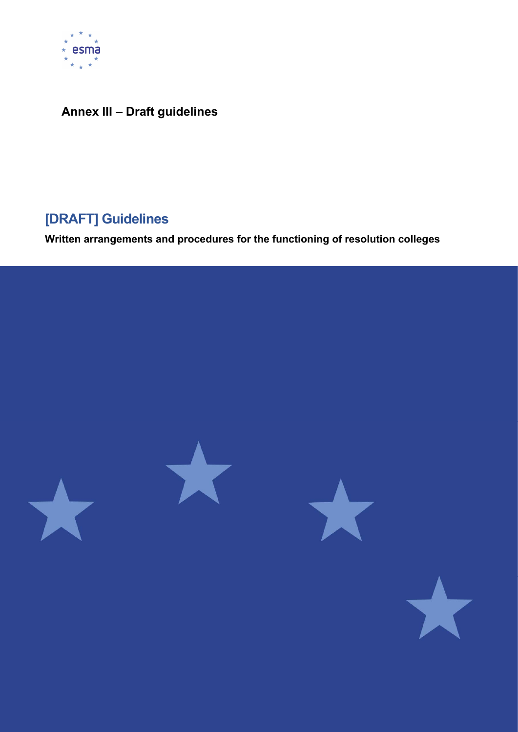

# Annex III – Draft guidelines

# [DRAFT] Guidelines

Written arrangements and procedures for the functioning of resolution colleges

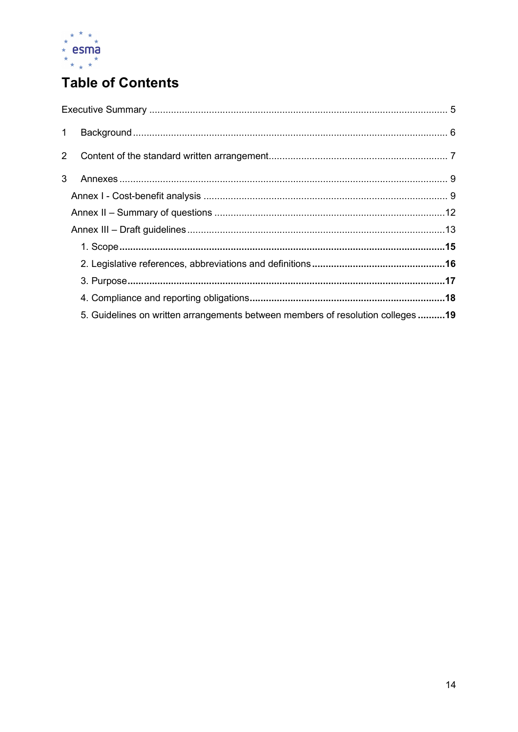

# **Table of Contents**

| $1 -$          |                                                                                 |  |
|----------------|---------------------------------------------------------------------------------|--|
| $\overline{2}$ |                                                                                 |  |
| 3              |                                                                                 |  |
|                |                                                                                 |  |
|                |                                                                                 |  |
|                |                                                                                 |  |
|                |                                                                                 |  |
|                |                                                                                 |  |
|                |                                                                                 |  |
|                |                                                                                 |  |
|                | 5. Guidelines on written arrangements between members of resolution colleges 19 |  |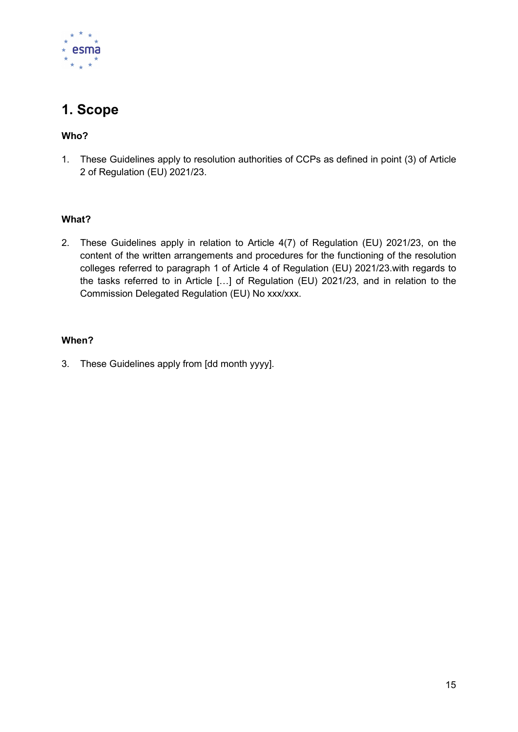

# 1. Scope

## Who?

1. These Guidelines apply to resolution authorities of CCPs as defined in point (3) of Article 2 of Regulation (EU) 2021/23.

### What?

2. These Guidelines apply in relation to Article 4(7) of Regulation (EU) 2021/23, on the content of the written arrangements and procedures for the functioning of the resolution colleges referred to paragraph 1 of Article 4 of Regulation (EU) 2021/23.with regards to the tasks referred to in Article […] of Regulation (EU) 2021/23, and in relation to the Commission Delegated Regulation (EU) No xxx/xxx.

## When?

3. These Guidelines apply from [dd month yyyy].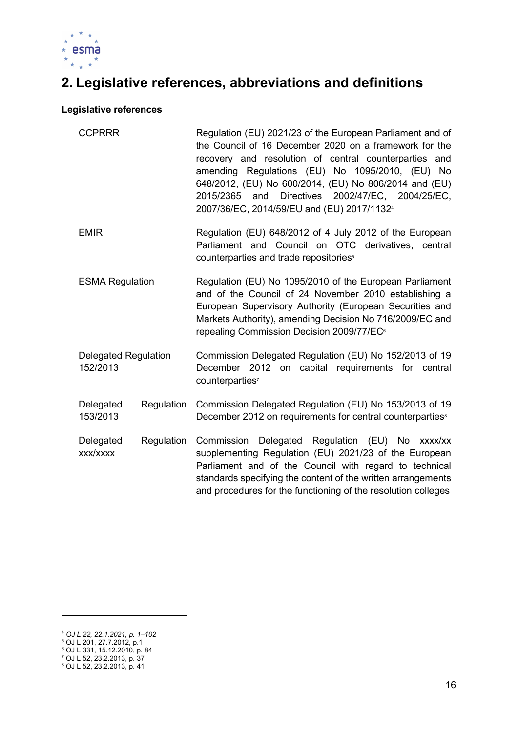

# 2. Legislative references, abbreviations and definitions

#### Legislative references

| <b>CCPRRR</b><br><b>EMIR</b>            |            | Regulation (EU) 2021/23 of the European Parliament and of<br>the Council of 16 December 2020 on a framework for the<br>recovery and resolution of central counterparties and<br>amending Regulations (EU) No 1095/2010, (EU) No<br>648/2012, (EU) No 600/2014, (EU) No 806/2014 and (EU)<br>Directives 2002/47/EC, 2004/25/EC,<br>2015/2365<br>and<br>2007/36/EC, 2014/59/EU and (EU) 2017/1132 <sup>4</sup> |
|-----------------------------------------|------------|--------------------------------------------------------------------------------------------------------------------------------------------------------------------------------------------------------------------------------------------------------------------------------------------------------------------------------------------------------------------------------------------------------------|
|                                         |            | Regulation (EU) 648/2012 of 4 July 2012 of the European<br>Parliament and Council on OTC derivatives, central<br>counterparties and trade repositories <sup>5</sup>                                                                                                                                                                                                                                          |
| <b>ESMA Regulation</b>                  |            | Regulation (EU) No 1095/2010 of the European Parliament<br>and of the Council of 24 November 2010 establishing a<br>European Supervisory Authority (European Securities and<br>Markets Authority), amending Decision No 716/2009/EC and<br>repealing Commission Decision 2009/77/EC <sup>6</sup>                                                                                                             |
| <b>Delegated Regulation</b><br>152/2013 |            | Commission Delegated Regulation (EU) No 152/2013 of 19<br>December 2012 on capital requirements for central<br>counterparties <sup>7</sup>                                                                                                                                                                                                                                                                   |
| Delegated<br>153/2013                   | Regulation | Commission Delegated Regulation (EU) No 153/2013 of 19<br>December 2012 on requirements for central counterparties <sup>8</sup>                                                                                                                                                                                                                                                                              |
| Delegated<br>xxx/xxxx                   | Regulation | Commission Delegated Regulation (EU) No xxxx/xx<br>supplementing Regulation (EU) 2021/23 of the European<br>Parliament and of the Council with regard to technical<br>standards specifying the content of the written arrangements<br>and procedures for the functioning of the resolution colleges                                                                                                          |

<sup>4</sup> OJ L 22, 22.1.2021, p. 1–102 5 OJ L 201, 27.7.2012, p.1 6 OJ L 331, 15.12.2010, p. 84 7 OJ L 52, 23.2.2013, p. 37 8 OJ L 52, 23.2.2013, p. 41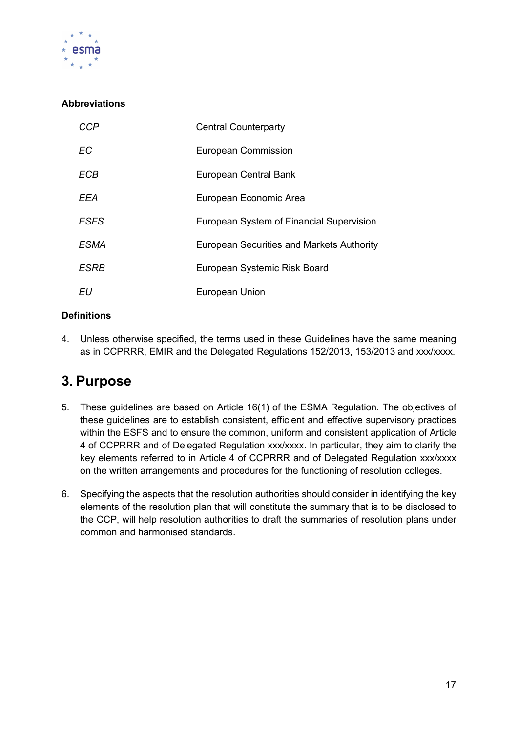

## **Abbreviations**

| CCP         | <b>Central Counterparty</b>                      |
|-------------|--------------------------------------------------|
| ЕC          | <b>European Commission</b>                       |
| <b>ECB</b>  | European Central Bank                            |
| EEA         | European Economic Area                           |
| <b>ESFS</b> | European System of Financial Supervision         |
| <i>ESMA</i> | <b>European Securities and Markets Authority</b> |
| ESRB        | European Systemic Risk Board                     |
| EU          | European Union                                   |

### **Definitions**

4. Unless otherwise specified, the terms used in these Guidelines have the same meaning as in CCPRRR, EMIR and the Delegated Regulations 152/2013, 153/2013 and xxx/xxxx.

## 3. Purpose

- 5. These guidelines are based on Article 16(1) of the ESMA Regulation. The objectives of these guidelines are to establish consistent, efficient and effective supervisory practices within the ESFS and to ensure the common, uniform and consistent application of Article 4 of CCPRRR and of Delegated Regulation xxx/xxxx. In particular, they aim to clarify the key elements referred to in Article 4 of CCPRRR and of Delegated Regulation xxx/xxxx on the written arrangements and procedures for the functioning of resolution colleges.
- 6. Specifying the aspects that the resolution authorities should consider in identifying the key elements of the resolution plan that will constitute the summary that is to be disclosed to the CCP, will help resolution authorities to draft the summaries of resolution plans under common and harmonised standards.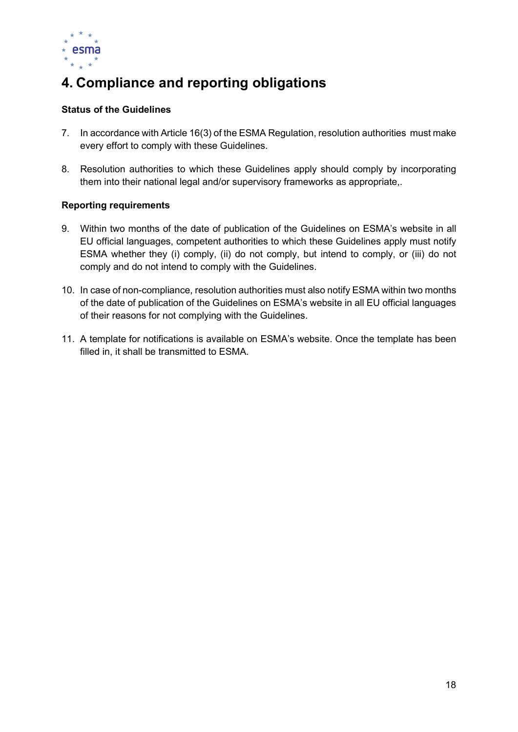

# 4. Compliance and reporting obligations

### Status of the Guidelines

- 7. In accordance with Article 16(3) of the ESMA Regulation, resolution authorities must make every effort to comply with these Guidelines.
- 8. Resolution authorities to which these Guidelines apply should comply by incorporating them into their national legal and/or supervisory frameworks as appropriate,.

#### Reporting requirements

- 9. Within two months of the date of publication of the Guidelines on ESMA's website in all EU official languages, competent authorities to which these Guidelines apply must notify ESMA whether they (i) comply, (ii) do not comply, but intend to comply, or (iii) do not comply and do not intend to comply with the Guidelines.
- 10. In case of non-compliance, resolution authorities must also notify ESMA within two months of the date of publication of the Guidelines on ESMA's website in all EU official languages of their reasons for not complying with the Guidelines.
- 11. A template for notifications is available on ESMA's website. Once the template has been filled in, it shall be transmitted to ESMA.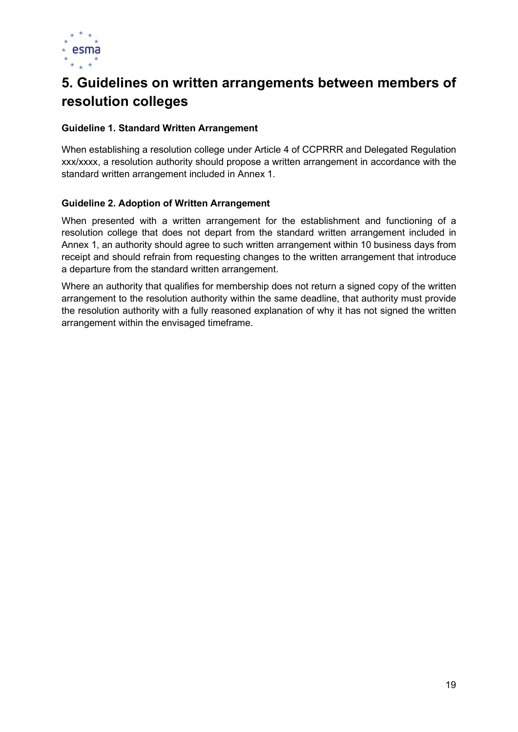

# 5. Guidelines on written arrangements between members of resolution colleges

#### Guideline 1. Standard Written Arrangement

When establishing a resolution college under Article 4 of CCPRRR and Delegated Regulation xxx/xxxx, a resolution authority should propose a written arrangement in accordance with the standard written arrangement included in Annex 1.

#### Guideline 2. Adoption of Written Arrangement

When presented with a written arrangement for the establishment and functioning of a resolution college that does not depart from the standard written arrangement included in Annex 1, an authority should agree to such written arrangement within 10 business days from receipt and should refrain from requesting changes to the written arrangement that introduce a departure from the standard written arrangement.

Where an authority that qualifies for membership does not return a signed copy of the written arrangement to the resolution authority within the same deadline, that authority must provide the resolution authority with a fully reasoned explanation of why it has not signed the written arrangement within the envisaged timeframe.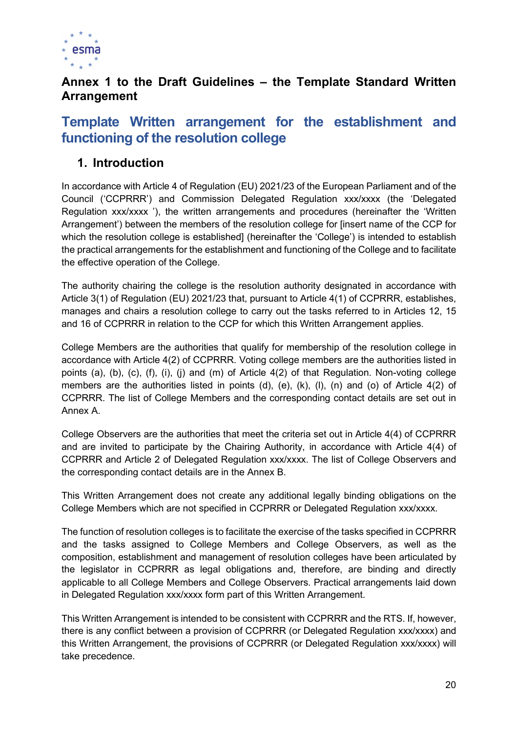

## Annex 1 to the Draft Guidelines – the Template Standard Written Arrangement

# Template Written arrangement for the establishment and functioning of the resolution college

## 1. Introduction

In accordance with Article 4 of Regulation (EU) 2021/23 of the European Parliament and of the Council ('CCPRRR') and Commission Delegated Regulation xxx/xxxx (the 'Delegated Regulation xxx/xxxx '), the written arrangements and procedures (hereinafter the 'Written Arrangement') between the members of the resolution college for [insert name of the CCP for which the resolution college is established] (hereinafter the 'College') is intended to establish the practical arrangements for the establishment and functioning of the College and to facilitate the effective operation of the College.

The authority chairing the college is the resolution authority designated in accordance with Article 3(1) of Regulation (EU) 2021/23 that, pursuant to Article 4(1) of CCPRRR, establishes, manages and chairs a resolution college to carry out the tasks referred to in Articles 12, 15 and 16 of CCPRRR in relation to the CCP for which this Written Arrangement applies.

College Members are the authorities that qualify for membership of the resolution college in accordance with Article 4(2) of CCPRRR. Voting college members are the authorities listed in points (a), (b), (c), (f), (i), (j) and (m) of Article 4(2) of that Regulation. Non-voting college members are the authorities listed in points (d), (e), (k), (l), (n) and (o) of Article 4(2) of CCPRRR. The list of College Members and the corresponding contact details are set out in Annex A.

College Observers are the authorities that meet the criteria set out in Article 4(4) of CCPRRR and are invited to participate by the Chairing Authority, in accordance with Article 4(4) of CCPRRR and Article 2 of Delegated Regulation xxx/xxxx. The list of College Observers and the corresponding contact details are in the Annex B.

This Written Arrangement does not create any additional legally binding obligations on the College Members which are not specified in CCPRRR or Delegated Regulation xxx/xxxx.

The function of resolution colleges is to facilitate the exercise of the tasks specified in CCPRRR and the tasks assigned to College Members and College Observers, as well as the composition, establishment and management of resolution colleges have been articulated by the legislator in CCPRRR as legal obligations and, therefore, are binding and directly applicable to all College Members and College Observers. Practical arrangements laid down in Delegated Regulation xxx/xxxx form part of this Written Arrangement.

This Written Arrangement is intended to be consistent with CCPRRR and the RTS. If, however, there is any conflict between a provision of CCPRRR (or Delegated Regulation xxx/xxxx) and this Written Arrangement, the provisions of CCPRRR (or Delegated Regulation xxx/xxxx) will take precedence.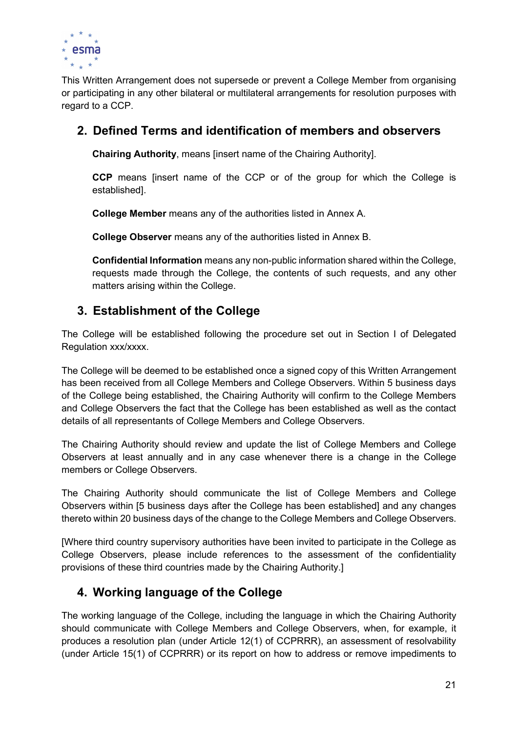

This Written Arrangement does not supersede or prevent a College Member from organising or participating in any other bilateral or multilateral arrangements for resolution purposes with regard to a CCP.

## 2. Defined Terms and identification of members and observers

Chairing Authority, means [insert name of the Chairing Authority].

CCP means [insert name of the CCP or of the group for which the College is established].

College Member means any of the authorities listed in Annex A.

College Observer means any of the authorities listed in Annex B.

Confidential Information means any non-public information shared within the College, requests made through the College, the contents of such requests, and any other matters arising within the College.

## 3. Establishment of the College

The College will be established following the procedure set out in Section I of Delegated Regulation xxx/xxxx.

The College will be deemed to be established once a signed copy of this Written Arrangement has been received from all College Members and College Observers. Within 5 business days of the College being established, the Chairing Authority will confirm to the College Members and College Observers the fact that the College has been established as well as the contact details of all representants of College Members and College Observers.

The Chairing Authority should review and update the list of College Members and College Observers at least annually and in any case whenever there is a change in the College members or College Observers.

The Chairing Authority should communicate the list of College Members and College Observers within [5 business days after the College has been established] and any changes thereto within 20 business days of the change to the College Members and College Observers.

[Where third country supervisory authorities have been invited to participate in the College as College Observers, please include references to the assessment of the confidentiality provisions of these third countries made by the Chairing Authority.]

## 4. Working language of the College

The working language of the College, including the language in which the Chairing Authority should communicate with College Members and College Observers, when, for example, it produces a resolution plan (under Article 12(1) of CCPRRR), an assessment of resolvability (under Article 15(1) of CCPRRR) or its report on how to address or remove impediments to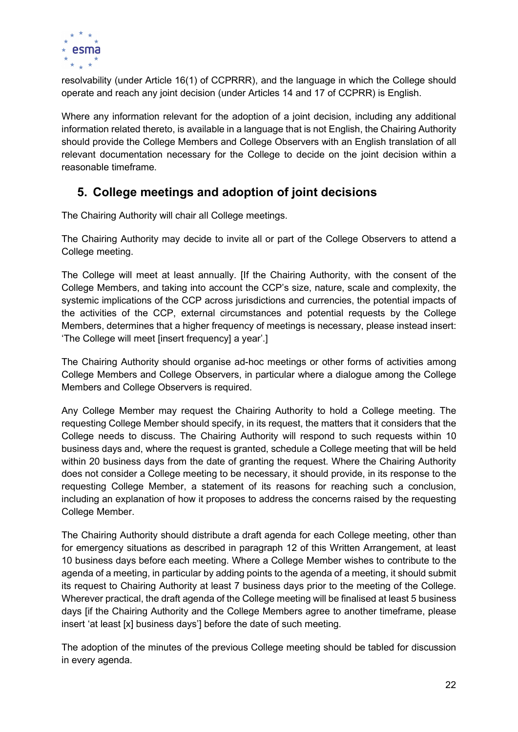

resolvability (under Article 16(1) of CCPRRR), and the language in which the College should operate and reach any joint decision (under Articles 14 and 17 of CCPRR) is English.

Where any information relevant for the adoption of a joint decision, including any additional information related thereto, is available in a language that is not English, the Chairing Authority should provide the College Members and College Observers with an English translation of all relevant documentation necessary for the College to decide on the joint decision within a reasonable timeframe.

## 5. College meetings and adoption of joint decisions

The Chairing Authority will chair all College meetings.

The Chairing Authority may decide to invite all or part of the College Observers to attend a College meeting.

The College will meet at least annually. [If the Chairing Authority, with the consent of the College Members, and taking into account the CCP's size, nature, scale and complexity, the systemic implications of the CCP across jurisdictions and currencies, the potential impacts of the activities of the CCP, external circumstances and potential requests by the College Members, determines that a higher frequency of meetings is necessary, please instead insert: 'The College will meet [insert frequency] a year'.]

The Chairing Authority should organise ad-hoc meetings or other forms of activities among College Members and College Observers, in particular where a dialogue among the College Members and College Observers is required.

Any College Member may request the Chairing Authority to hold a College meeting. The requesting College Member should specify, in its request, the matters that it considers that the College needs to discuss. The Chairing Authority will respond to such requests within 10 business days and, where the request is granted, schedule a College meeting that will be held within 20 business days from the date of granting the request. Where the Chairing Authority does not consider a College meeting to be necessary, it should provide, in its response to the requesting College Member, a statement of its reasons for reaching such a conclusion, including an explanation of how it proposes to address the concerns raised by the requesting College Member.

The Chairing Authority should distribute a draft agenda for each College meeting, other than for emergency situations as described in paragraph 12 of this Written Arrangement, at least 10 business days before each meeting. Where a College Member wishes to contribute to the agenda of a meeting, in particular by adding points to the agenda of a meeting, it should submit its request to Chairing Authority at least 7 business days prior to the meeting of the College. Wherever practical, the draft agenda of the College meeting will be finalised at least 5 business days [if the Chairing Authority and the College Members agree to another timeframe, please insert 'at least [x] business days'] before the date of such meeting.

The adoption of the minutes of the previous College meeting should be tabled for discussion in every agenda.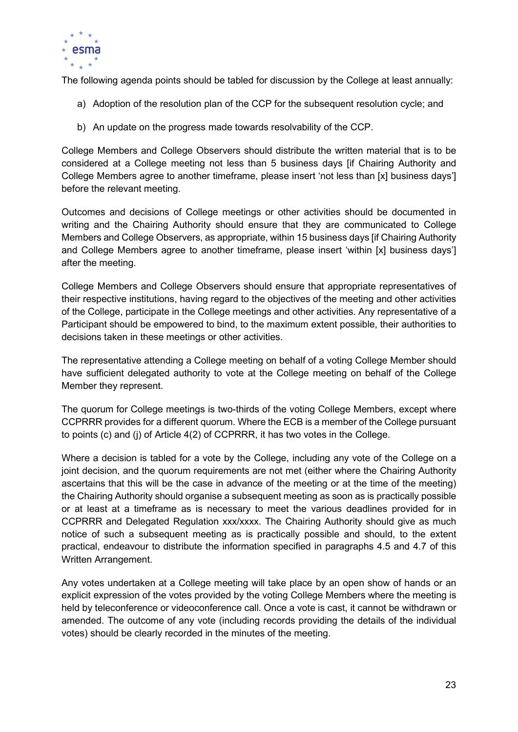

The following agenda points should be tabled for discussion by the College at least annually:

- a) Adoption of the resolution plan of the CCP for the subsequent resolution cycle; and
- b) An update on the progress made towards resolvability of the CCP.

College Members and College Observers should distribute the written material that is to be considered at a College meeting not less than 5 business days [if Chairing Authority and College Members agree to another timeframe, please insert 'not less than [x] business days'] before the relevant meeting.

Outcomes and decisions of College meetings or other activities should be documented in writing and the Chairing Authority should ensure that they are communicated to College Members and College Observers, as appropriate, within 15 business days [if Chairing Authority and College Members agree to another timeframe, please insert 'within [x] business days'] after the meeting.

College Members and College Observers should ensure that appropriate representatives of their respective institutions, having regard to the objectives of the meeting and other activities of the College, participate in the College meetings and other activities. Any representative of a Participant should be empowered to bind, to the maximum extent possible, their authorities to decisions taken in these meetings or other activities.

The representative attending a College meeting on behalf of a voting College Member should have sufficient delegated authority to vote at the College meeting on behalf of the College Member they represent.

The quorum for College meetings is two-thirds of the voting College Members, except where CCPRRR provides for a different quorum. Where the ECB is a member of the College pursuant to points (c) and (j) of Article 4(2) of CCPRRR, it has two votes in the College.

Where a decision is tabled for a vote by the College, including any vote of the College on a joint decision, and the quorum requirements are not met (either where the Chairing Authority ascertains that this will be the case in advance of the meeting or at the time of the meeting) the Chairing Authority should organise a subsequent meeting as soon as is practically possible or at least at a timeframe as is necessary to meet the various deadlines provided for in CCPRRR and Delegated Regulation xxx/xxxx. The Chairing Authority should give as much notice of such a subsequent meeting as is practically possible and should, to the extent practical, endeavour to distribute the information specified in paragraphs 4.5 and 4.7 of this Written Arrangement.

Any votes undertaken at a College meeting will take place by an open show of hands or an explicit expression of the votes provided by the voting College Members where the meeting is held by teleconference or videoconference call. Once a vote is cast, it cannot be withdrawn or amended. The outcome of any vote (including records providing the details of the individual votes) should be clearly recorded in the minutes of the meeting.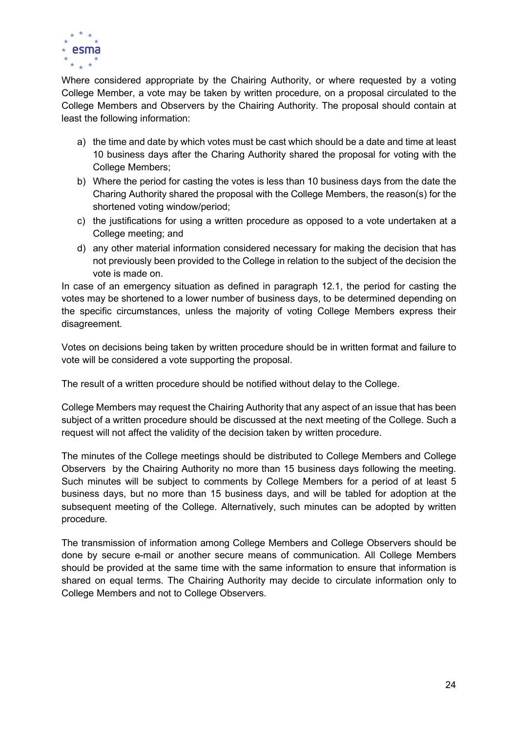

Where considered appropriate by the Chairing Authority, or where requested by a voting College Member, a vote may be taken by written procedure, on a proposal circulated to the College Members and Observers by the Chairing Authority. The proposal should contain at least the following information:

- a) the time and date by which votes must be cast which should be a date and time at least 10 business days after the Charing Authority shared the proposal for voting with the College Members;
- b) Where the period for casting the votes is less than 10 business days from the date the Charing Authority shared the proposal with the College Members, the reason(s) for the shortened voting window/period;
- c) the justifications for using a written procedure as opposed to a vote undertaken at a College meeting; and
- d) any other material information considered necessary for making the decision that has not previously been provided to the College in relation to the subject of the decision the vote is made on.

In case of an emergency situation as defined in paragraph 12.1, the period for casting the votes may be shortened to a lower number of business days, to be determined depending on the specific circumstances, unless the majority of voting College Members express their disagreement.

Votes on decisions being taken by written procedure should be in written format and failure to vote will be considered a vote supporting the proposal.

The result of a written procedure should be notified without delay to the College.

College Members may request the Chairing Authority that any aspect of an issue that has been subject of a written procedure should be discussed at the next meeting of the College. Such a request will not affect the validity of the decision taken by written procedure.

The minutes of the College meetings should be distributed to College Members and College Observers by the Chairing Authority no more than 15 business days following the meeting. Such minutes will be subject to comments by College Members for a period of at least 5 business days, but no more than 15 business days, and will be tabled for adoption at the subsequent meeting of the College. Alternatively, such minutes can be adopted by written procedure.

The transmission of information among College Members and College Observers should be done by secure e-mail or another secure means of communication. All College Members should be provided at the same time with the same information to ensure that information is shared on equal terms. The Chairing Authority may decide to circulate information only to College Members and not to College Observers.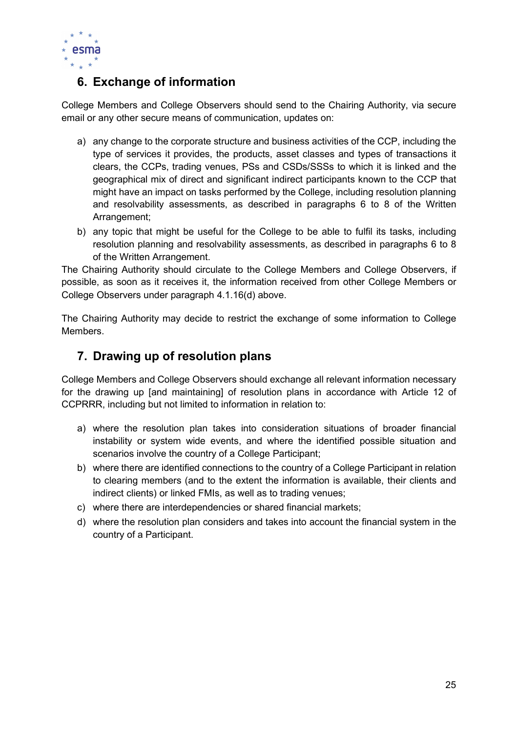

# 6. Exchange of information

College Members and College Observers should send to the Chairing Authority, via secure email or any other secure means of communication, updates on:

- a) any change to the corporate structure and business activities of the CCP, including the type of services it provides, the products, asset classes and types of transactions it clears, the CCPs, trading venues, PSs and CSDs/SSSs to which it is linked and the geographical mix of direct and significant indirect participants known to the CCP that might have an impact on tasks performed by the College, including resolution planning and resolvability assessments, as described in paragraphs 6 to 8 of the Written Arrangement:
- b) any topic that might be useful for the College to be able to fulfil its tasks, including resolution planning and resolvability assessments, as described in paragraphs 6 to 8 of the Written Arrangement.

The Chairing Authority should circulate to the College Members and College Observers, if possible, as soon as it receives it, the information received from other College Members or College Observers under paragraph 4.1.16(d) above.

The Chairing Authority may decide to restrict the exchange of some information to College **Members** 

## 7. Drawing up of resolution plans

College Members and College Observers should exchange all relevant information necessary for the drawing up [and maintaining] of resolution plans in accordance with Article 12 of CCPRRR, including but not limited to information in relation to:

- a) where the resolution plan takes into consideration situations of broader financial instability or system wide events, and where the identified possible situation and scenarios involve the country of a College Participant;
- b) where there are identified connections to the country of a College Participant in relation to clearing members (and to the extent the information is available, their clients and indirect clients) or linked FMIs, as well as to trading venues;
- c) where there are interdependencies or shared financial markets;
- d) where the resolution plan considers and takes into account the financial system in the country of a Participant.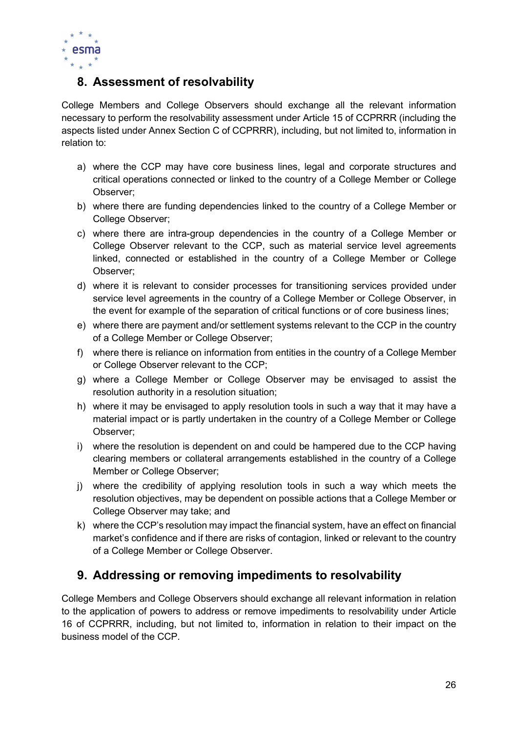

## 8. Assessment of resolvability

College Members and College Observers should exchange all the relevant information necessary to perform the resolvability assessment under Article 15 of CCPRRR (including the aspects listed under Annex Section C of CCPRRR), including, but not limited to, information in relation to:

- a) where the CCP may have core business lines, legal and corporate structures and critical operations connected or linked to the country of a College Member or College Observer;
- b) where there are funding dependencies linked to the country of a College Member or College Observer;
- c) where there are intra-group dependencies in the country of a College Member or College Observer relevant to the CCP, such as material service level agreements linked, connected or established in the country of a College Member or College Observer;
- d) where it is relevant to consider processes for transitioning services provided under service level agreements in the country of a College Member or College Observer, in the event for example of the separation of critical functions or of core business lines;
- e) where there are payment and/or settlement systems relevant to the CCP in the country of a College Member or College Observer;
- f) where there is reliance on information from entities in the country of a College Member or College Observer relevant to the CCP;
- g) where a College Member or College Observer may be envisaged to assist the resolution authority in a resolution situation;
- h) where it may be envisaged to apply resolution tools in such a way that it may have a material impact or is partly undertaken in the country of a College Member or College Observer;
- i) where the resolution is dependent on and could be hampered due to the CCP having clearing members or collateral arrangements established in the country of a College Member or College Observer;
- j) where the credibility of applying resolution tools in such a way which meets the resolution objectives, may be dependent on possible actions that a College Member or College Observer may take; and
- k) where the CCP's resolution may impact the financial system, have an effect on financial market's confidence and if there are risks of contagion, linked or relevant to the country of a College Member or College Observer.

## 9. Addressing or removing impediments to resolvability

College Members and College Observers should exchange all relevant information in relation to the application of powers to address or remove impediments to resolvability under Article 16 of CCPRRR, including, but not limited to, information in relation to their impact on the business model of the CCP.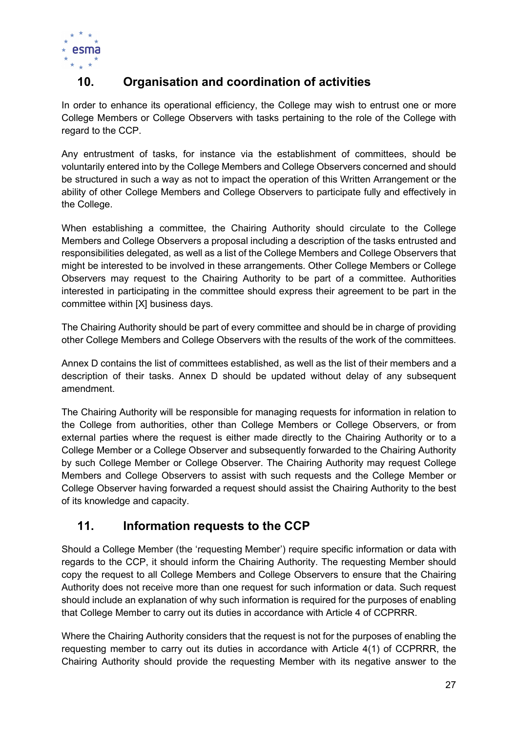

# 10. Organisation and coordination of activities

In order to enhance its operational efficiency, the College may wish to entrust one or more College Members or College Observers with tasks pertaining to the role of the College with regard to the CCP.

Any entrustment of tasks, for instance via the establishment of committees, should be voluntarily entered into by the College Members and College Observers concerned and should be structured in such a way as not to impact the operation of this Written Arrangement or the ability of other College Members and College Observers to participate fully and effectively in the College.

When establishing a committee, the Chairing Authority should circulate to the College Members and College Observers a proposal including a description of the tasks entrusted and responsibilities delegated, as well as a list of the College Members and College Observers that might be interested to be involved in these arrangements. Other College Members or College Observers may request to the Chairing Authority to be part of a committee. Authorities interested in participating in the committee should express their agreement to be part in the committee within [X] business days.

The Chairing Authority should be part of every committee and should be in charge of providing other College Members and College Observers with the results of the work of the committees.

Annex D contains the list of committees established, as well as the list of their members and a description of their tasks. Annex D should be updated without delay of any subsequent amendment.

The Chairing Authority will be responsible for managing requests for information in relation to the College from authorities, other than College Members or College Observers, or from external parties where the request is either made directly to the Chairing Authority or to a College Member or a College Observer and subsequently forwarded to the Chairing Authority by such College Member or College Observer. The Chairing Authority may request College Members and College Observers to assist with such requests and the College Member or College Observer having forwarded a request should assist the Chairing Authority to the best of its knowledge and capacity.

## 11. Information requests to the CCP

Should a College Member (the 'requesting Member') require specific information or data with regards to the CCP, it should inform the Chairing Authority. The requesting Member should copy the request to all College Members and College Observers to ensure that the Chairing Authority does not receive more than one request for such information or data. Such request should include an explanation of why such information is required for the purposes of enabling that College Member to carry out its duties in accordance with Article 4 of CCPRRR.

Where the Chairing Authority considers that the request is not for the purposes of enabling the requesting member to carry out its duties in accordance with Article 4(1) of CCPRRR, the Chairing Authority should provide the requesting Member with its negative answer to the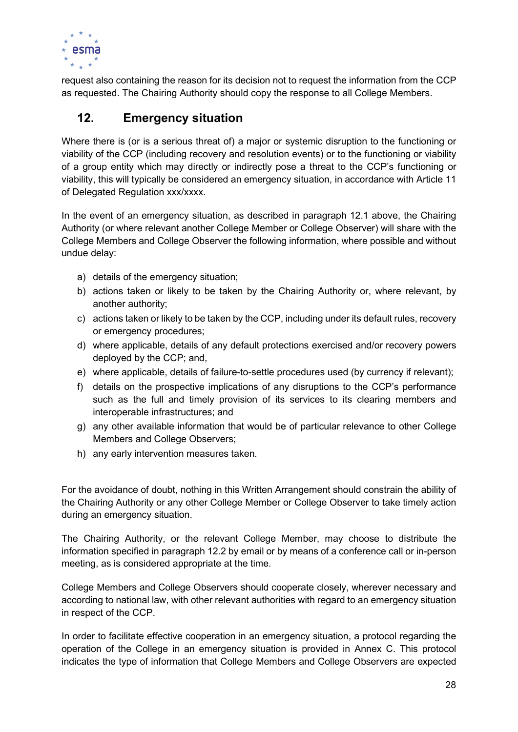

request also containing the reason for its decision not to request the information from the CCP as requested. The Chairing Authority should copy the response to all College Members.

## 12. Emergency situation

Where there is (or is a serious threat of) a major or systemic disruption to the functioning or viability of the CCP (including recovery and resolution events) or to the functioning or viability of a group entity which may directly or indirectly pose a threat to the CCP's functioning or viability, this will typically be considered an emergency situation, in accordance with Article 11 of Delegated Regulation xxx/xxxx.

In the event of an emergency situation, as described in paragraph 12.1 above, the Chairing Authority (or where relevant another College Member or College Observer) will share with the College Members and College Observer the following information, where possible and without undue delay:

- a) details of the emergency situation;
- b) actions taken or likely to be taken by the Chairing Authority or, where relevant, by another authority;
- c) actions taken or likely to be taken by the CCP, including under its default rules, recovery or emergency procedures;
- d) where applicable, details of any default protections exercised and/or recovery powers deployed by the CCP; and,
- e) where applicable, details of failure-to-settle procedures used (by currency if relevant);
- f) details on the prospective implications of any disruptions to the CCP's performance such as the full and timely provision of its services to its clearing members and interoperable infrastructures; and
- g) any other available information that would be of particular relevance to other College Members and College Observers;
- h) any early intervention measures taken.

For the avoidance of doubt, nothing in this Written Arrangement should constrain the ability of the Chairing Authority or any other College Member or College Observer to take timely action during an emergency situation.

The Chairing Authority, or the relevant College Member, may choose to distribute the information specified in paragraph 12.2 by email or by means of a conference call or in-person meeting, as is considered appropriate at the time.

College Members and College Observers should cooperate closely, wherever necessary and according to national law, with other relevant authorities with regard to an emergency situation in respect of the CCP.

In order to facilitate effective cooperation in an emergency situation, a protocol regarding the operation of the College in an emergency situation is provided in Annex C. This protocol indicates the type of information that College Members and College Observers are expected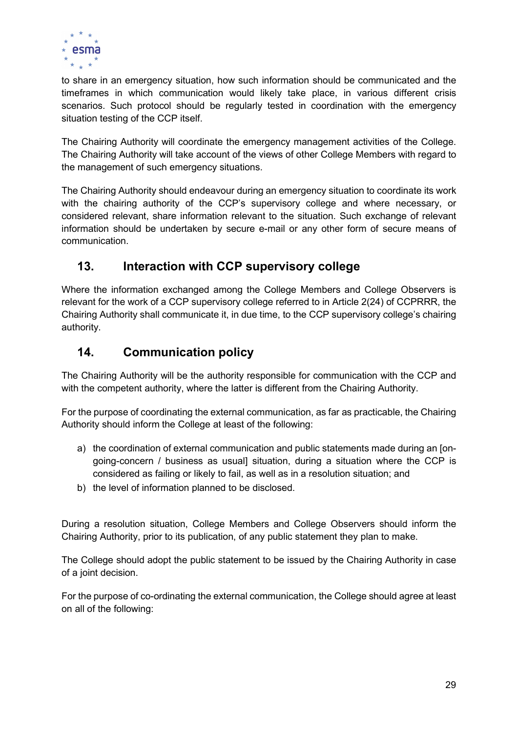

to share in an emergency situation, how such information should be communicated and the timeframes in which communication would likely take place, in various different crisis scenarios. Such protocol should be regularly tested in coordination with the emergency situation testing of the CCP itself.

The Chairing Authority will coordinate the emergency management activities of the College. The Chairing Authority will take account of the views of other College Members with regard to the management of such emergency situations.

The Chairing Authority should endeavour during an emergency situation to coordinate its work with the chairing authority of the CCP's supervisory college and where necessary, or considered relevant, share information relevant to the situation. Such exchange of relevant information should be undertaken by secure e-mail or any other form of secure means of communication.

## 13. Interaction with CCP supervisory college

Where the information exchanged among the College Members and College Observers is relevant for the work of a CCP supervisory college referred to in Article 2(24) of CCPRRR, the Chairing Authority shall communicate it, in due time, to the CCP supervisory college's chairing authority.

## 14. Communication policy

The Chairing Authority will be the authority responsible for communication with the CCP and with the competent authority, where the latter is different from the Chairing Authority.

For the purpose of coordinating the external communication, as far as practicable, the Chairing Authority should inform the College at least of the following:

- a) the coordination of external communication and public statements made during an [ongoing-concern / business as usual] situation, during a situation where the CCP is considered as failing or likely to fail, as well as in a resolution situation; and
- b) the level of information planned to be disclosed.

During a resolution situation, College Members and College Observers should inform the Chairing Authority, prior to its publication, of any public statement they plan to make.

The College should adopt the public statement to be issued by the Chairing Authority in case of a joint decision.

For the purpose of co-ordinating the external communication, the College should agree at least on all of the following: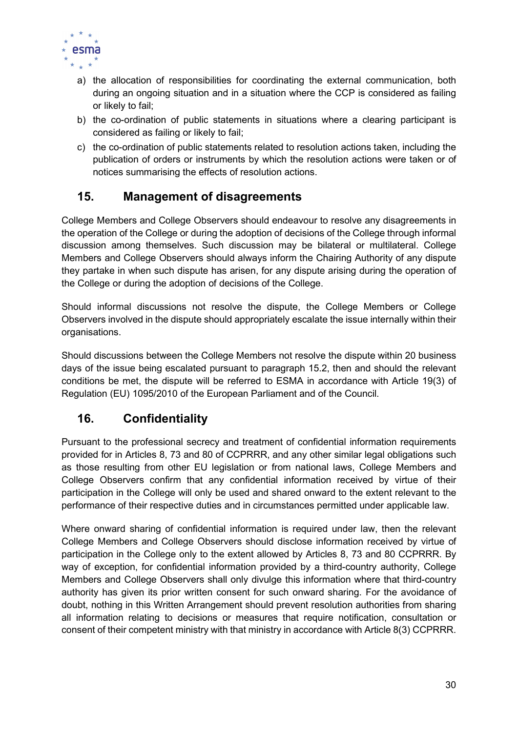

- a) the allocation of responsibilities for coordinating the external communication, both during an ongoing situation and in a situation where the CCP is considered as failing or likely to fail;
- b) the co-ordination of public statements in situations where a clearing participant is considered as failing or likely to fail;
- c) the co-ordination of public statements related to resolution actions taken, including the publication of orders or instruments by which the resolution actions were taken or of notices summarising the effects of resolution actions.

## 15. Management of disagreements

College Members and College Observers should endeavour to resolve any disagreements in the operation of the College or during the adoption of decisions of the College through informal discussion among themselves. Such discussion may be bilateral or multilateral. College Members and College Observers should always inform the Chairing Authority of any dispute they partake in when such dispute has arisen, for any dispute arising during the operation of the College or during the adoption of decisions of the College.

Should informal discussions not resolve the dispute, the College Members or College Observers involved in the dispute should appropriately escalate the issue internally within their organisations.

Should discussions between the College Members not resolve the dispute within 20 business days of the issue being escalated pursuant to paragraph 15.2, then and should the relevant conditions be met, the dispute will be referred to ESMA in accordance with Article 19(3) of Regulation (EU) 1095/2010 of the European Parliament and of the Council.

## 16. Confidentiality

Pursuant to the professional secrecy and treatment of confidential information requirements provided for in Articles 8, 73 and 80 of CCPRRR, and any other similar legal obligations such as those resulting from other EU legislation or from national laws, College Members and College Observers confirm that any confidential information received by virtue of their participation in the College will only be used and shared onward to the extent relevant to the performance of their respective duties and in circumstances permitted under applicable law.

Where onward sharing of confidential information is required under law, then the relevant College Members and College Observers should disclose information received by virtue of participation in the College only to the extent allowed by Articles 8, 73 and 80 CCPRRR. By way of exception, for confidential information provided by a third-country authority, College Members and College Observers shall only divulge this information where that third-country authority has given its prior written consent for such onward sharing. For the avoidance of doubt, nothing in this Written Arrangement should prevent resolution authorities from sharing all information relating to decisions or measures that require notification, consultation or consent of their competent ministry with that ministry in accordance with Article 8(3) CCPRRR.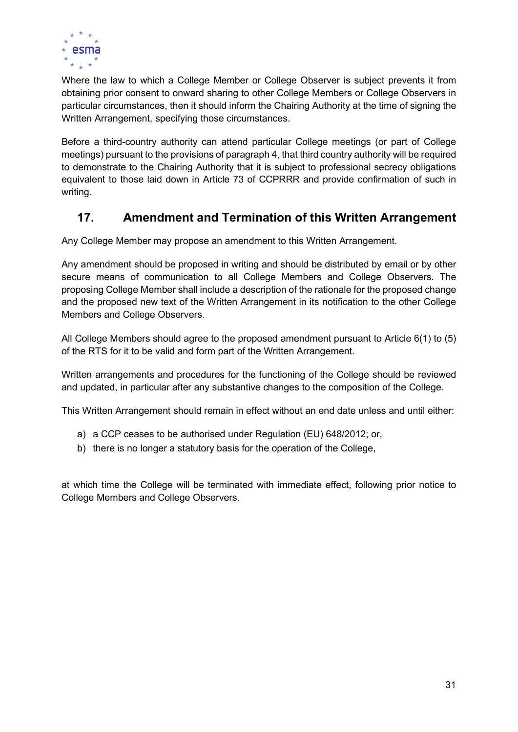

Where the law to which a College Member or College Observer is subject prevents it from obtaining prior consent to onward sharing to other College Members or College Observers in particular circumstances, then it should inform the Chairing Authority at the time of signing the Written Arrangement, specifying those circumstances.

Before a third-country authority can attend particular College meetings (or part of College meetings) pursuant to the provisions of paragraph 4, that third country authority will be required to demonstrate to the Chairing Authority that it is subject to professional secrecy obligations equivalent to those laid down in Article 73 of CCPRRR and provide confirmation of such in writing.

## 17. Amendment and Termination of this Written Arrangement

Any College Member may propose an amendment to this Written Arrangement.

Any amendment should be proposed in writing and should be distributed by email or by other secure means of communication to all College Members and College Observers. The proposing College Member shall include a description of the rationale for the proposed change and the proposed new text of the Written Arrangement in its notification to the other College Members and College Observers.

All College Members should agree to the proposed amendment pursuant to Article 6(1) to (5) of the RTS for it to be valid and form part of the Written Arrangement.

Written arrangements and procedures for the functioning of the College should be reviewed and updated, in particular after any substantive changes to the composition of the College.

This Written Arrangement should remain in effect without an end date unless and until either:

- a) a CCP ceases to be authorised under Regulation (EU) 648/2012; or,
- b) there is no longer a statutory basis for the operation of the College,

at which time the College will be terminated with immediate effect, following prior notice to College Members and College Observers.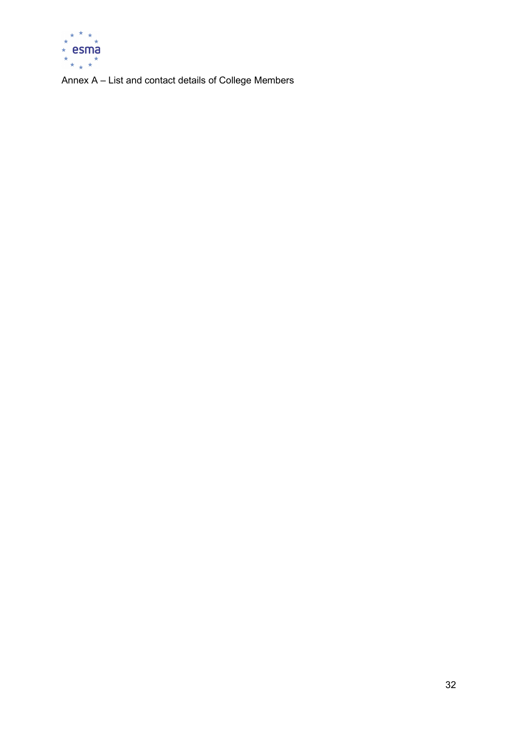

Annex A – List and contact details of College Members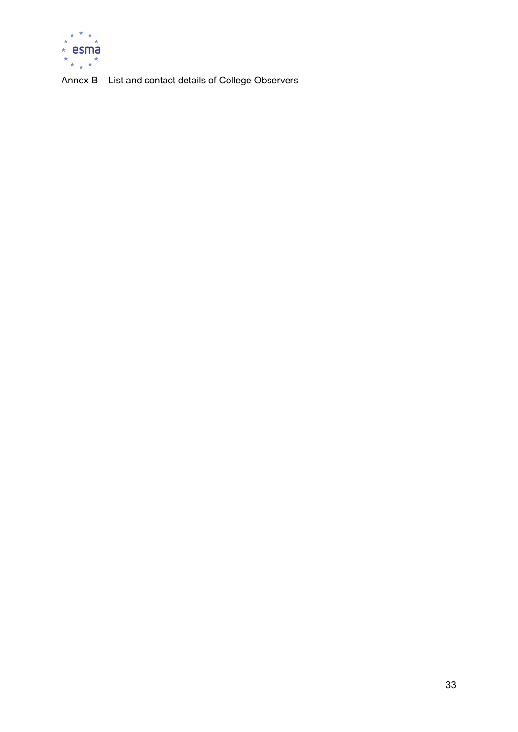

Annex B – List and contact details of College Observers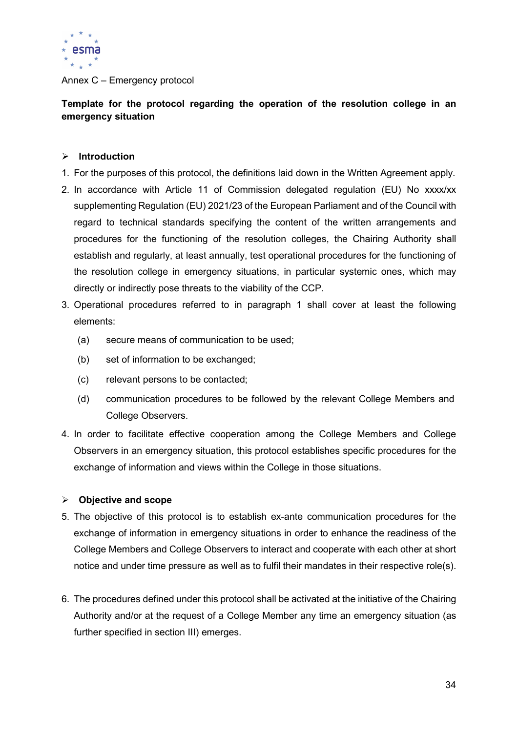

#### Annex C – Emergency protocol

Template for the protocol regarding the operation of the resolution college in an emergency situation

#### $\triangleright$  Introduction

- 1. For the purposes of this protocol, the definitions laid down in the Written Agreement apply.
- 2. In accordance with Article 11 of Commission delegated regulation (EU) No xxxx/xx supplementing Regulation (EU) 2021/23 of the European Parliament and of the Council with regard to technical standards specifying the content of the written arrangements and procedures for the functioning of the resolution colleges, the Chairing Authority shall establish and regularly, at least annually, test operational procedures for the functioning of the resolution college in emergency situations, in particular systemic ones, which may directly or indirectly pose threats to the viability of the CCP.
- 3. Operational procedures referred to in paragraph 1 shall cover at least the following elements:
	- (a) secure means of communication to be used;
	- (b) set of information to be exchanged;
	- (c) relevant persons to be contacted;
	- (d) communication procedures to be followed by the relevant College Members and College Observers.
- 4. In order to facilitate effective cooperation among the College Members and College Observers in an emergency situation, this protocol establishes specific procedures for the exchange of information and views within the College in those situations.

### $\triangleright$  Objective and scope

- 5. The objective of this protocol is to establish ex-ante communication procedures for the exchange of information in emergency situations in order to enhance the readiness of the College Members and College Observers to interact and cooperate with each other at short notice and under time pressure as well as to fulfil their mandates in their respective role(s).
- 6. The procedures defined under this protocol shall be activated at the initiative of the Chairing Authority and/or at the request of a College Member any time an emergency situation (as further specified in section III) emerges.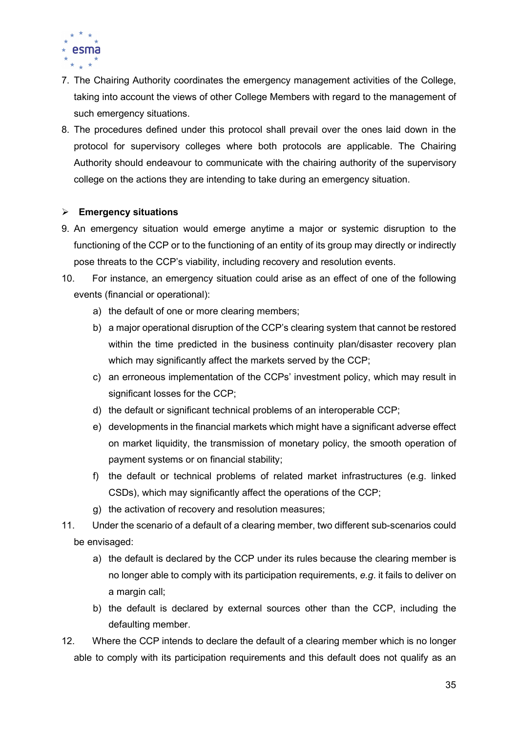

- 7. The Chairing Authority coordinates the emergency management activities of the College, taking into account the views of other College Members with regard to the management of such emergency situations.
- 8. The procedures defined under this protocol shall prevail over the ones laid down in the protocol for supervisory colleges where both protocols are applicable. The Chairing Authority should endeavour to communicate with the chairing authority of the supervisory college on the actions they are intending to take during an emergency situation.

#### $\triangleright$  Emergency situations

- 9. An emergency situation would emerge anytime a major or systemic disruption to the functioning of the CCP or to the functioning of an entity of its group may directly or indirectly pose threats to the CCP's viability, including recovery and resolution events.
- 10. For instance, an emergency situation could arise as an effect of one of the following events (financial or operational):
	- a) the default of one or more clearing members;
	- b) a major operational disruption of the CCP's clearing system that cannot be restored within the time predicted in the business continuity plan/disaster recovery plan which may significantly affect the markets served by the CCP;
	- c) an erroneous implementation of the CCPs' investment policy, which may result in significant losses for the CCP;
	- d) the default or significant technical problems of an interoperable CCP;
	- e) developments in the financial markets which might have a significant adverse effect on market liquidity, the transmission of monetary policy, the smooth operation of payment systems or on financial stability;
	- f) the default or technical problems of related market infrastructures (e.g. linked CSDs), which may significantly affect the operations of the CCP;
	- g) the activation of recovery and resolution measures;
- 11. Under the scenario of a default of a clearing member, two different sub-scenarios could be envisaged:
	- a) the default is declared by the CCP under its rules because the clearing member is no longer able to comply with its participation requirements,  $e.g.$  it fails to deliver on a margin call;
	- b) the default is declared by external sources other than the CCP, including the defaulting member.
- 12. Where the CCP intends to declare the default of a clearing member which is no longer able to comply with its participation requirements and this default does not qualify as an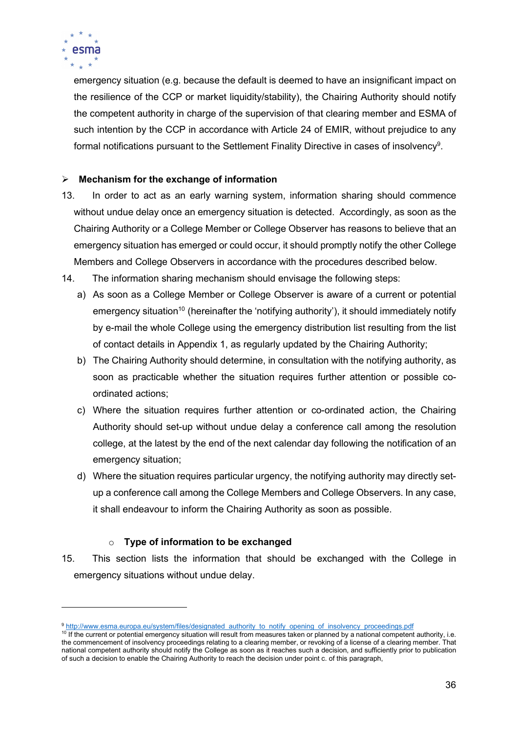

emergency situation (e.g. because the default is deemed to have an insignificant impact on the resilience of the CCP or market liquidity/stability), the Chairing Authority should notify the competent authority in charge of the supervision of that clearing member and ESMA of such intention by the CCP in accordance with Article 24 of EMIR, without prejudice to any formal notifications pursuant to the Settlement Finality Directive in cases of insolvency<sup>9</sup>.

## $\triangleright$  Mechanism for the exchange of information

- 13. In order to act as an early warning system, information sharing should commence without undue delay once an emergency situation is detected. Accordingly, as soon as the Chairing Authority or a College Member or College Observer has reasons to believe that an emergency situation has emerged or could occur, it should promptly notify the other College Members and College Observers in accordance with the procedures described below.
- 14. The information sharing mechanism should envisage the following steps:
	- a) As soon as a College Member or College Observer is aware of a current or potential emergency situation<sup>10</sup> (hereinafter the 'notifying authority'), it should immediately notify by e-mail the whole College using the emergency distribution list resulting from the list of contact details in Appendix 1, as regularly updated by the Chairing Authority;
	- b) The Chairing Authority should determine, in consultation with the notifying authority, as soon as practicable whether the situation requires further attention or possible coordinated actions;
	- c) Where the situation requires further attention or co-ordinated action, the Chairing Authority should set-up without undue delay a conference call among the resolution college, at the latest by the end of the next calendar day following the notification of an emergency situation;
	- d) Where the situation requires particular urgency, the notifying authority may directly setup a conference call among the College Members and College Observers. In any case, it shall endeavour to inform the Chairing Authority as soon as possible.

### $\circ$  Type of information to be exchanged

15. This section lists the information that should be exchanged with the College in emergency situations without undue delay.

<sup>9</sup> http://www.esma.europa.eu/system/files/designated\_authority\_to\_notify\_opening\_of\_insolvency\_proceedings.pdf

<sup>&</sup>lt;sup>10</sup> If the current or potential emergency situation will result from measures taken or planned by a national competent authority, i.e. the commencement of insolvency proceedings relating to a clearing member, or revoking of a license of a clearing member. That national competent authority should notify the College as soon as it reaches such a decision, and sufficiently prior to publication of such a decision to enable the Chairing Authority to reach the decision under point c. of this paragraph,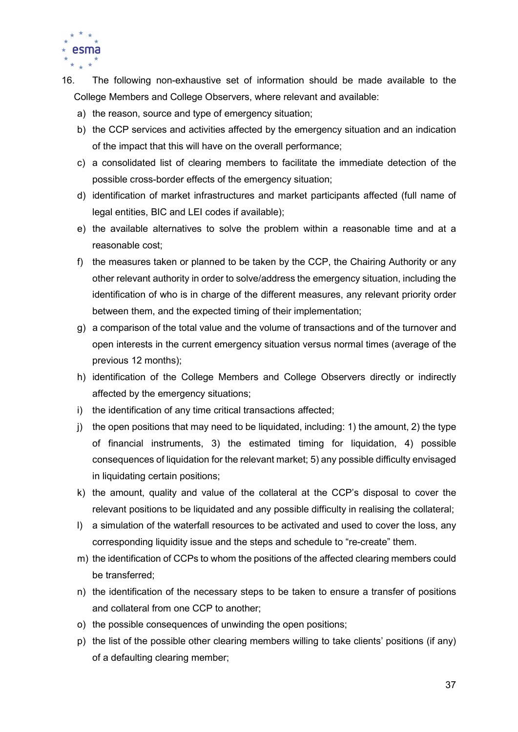

- 16. The following non-exhaustive set of information should be made available to the College Members and College Observers, where relevant and available:
	- a) the reason, source and type of emergency situation;
	- b) the CCP services and activities affected by the emergency situation and an indication of the impact that this will have on the overall performance;
	- c) a consolidated list of clearing members to facilitate the immediate detection of the possible cross-border effects of the emergency situation;
	- d) identification of market infrastructures and market participants affected (full name of legal entities, BIC and LEI codes if available);
	- e) the available alternatives to solve the problem within a reasonable time and at a reasonable cost;
	- f) the measures taken or planned to be taken by the CCP, the Chairing Authority or any other relevant authority in order to solve/address the emergency situation, including the identification of who is in charge of the different measures, any relevant priority order between them, and the expected timing of their implementation;
	- g) a comparison of the total value and the volume of transactions and of the turnover and open interests in the current emergency situation versus normal times (average of the previous 12 months);
	- h) identification of the College Members and College Observers directly or indirectly affected by the emergency situations;
	- i) the identification of any time critical transactions affected;
	- j) the open positions that may need to be liquidated, including: 1) the amount, 2) the type of financial instruments, 3) the estimated timing for liquidation, 4) possible consequences of liquidation for the relevant market; 5) any possible difficulty envisaged in liquidating certain positions;
	- k) the amount, quality and value of the collateral at the CCP's disposal to cover the relevant positions to be liquidated and any possible difficulty in realising the collateral;
	- l) a simulation of the waterfall resources to be activated and used to cover the loss, any corresponding liquidity issue and the steps and schedule to "re-create" them.
	- m) the identification of CCPs to whom the positions of the affected clearing members could be transferred;
	- n) the identification of the necessary steps to be taken to ensure a transfer of positions and collateral from one CCP to another;
	- o) the possible consequences of unwinding the open positions;
	- p) the list of the possible other clearing members willing to take clients' positions (if any) of a defaulting clearing member;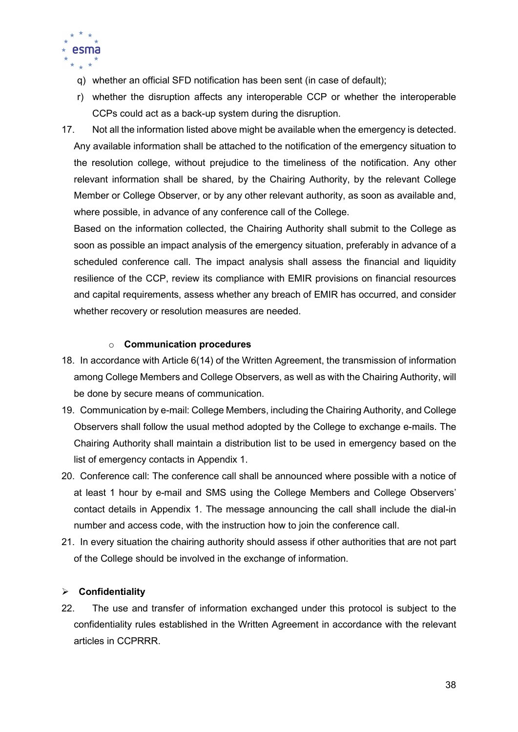

- q) whether an official SFD notification has been sent (in case of default);
- r) whether the disruption affects any interoperable CCP or whether the interoperable CCPs could act as a back-up system during the disruption.
- 17. Not all the information listed above might be available when the emergency is detected. Any available information shall be attached to the notification of the emergency situation to the resolution college, without prejudice to the timeliness of the notification. Any other relevant information shall be shared, by the Chairing Authority, by the relevant College Member or College Observer, or by any other relevant authority, as soon as available and, where possible, in advance of any conference call of the College.

Based on the information collected, the Chairing Authority shall submit to the College as soon as possible an impact analysis of the emergency situation, preferably in advance of a scheduled conference call. The impact analysis shall assess the financial and liquidity resilience of the CCP, review its compliance with EMIR provisions on financial resources and capital requirements, assess whether any breach of EMIR has occurred, and consider whether recovery or resolution measures are needed.

#### o Communication procedures

- 18. In accordance with Article 6(14) of the Written Agreement, the transmission of information among College Members and College Observers, as well as with the Chairing Authority, will be done by secure means of communication.
- 19. Communication by e-mail: College Members, including the Chairing Authority, and College Observers shall follow the usual method adopted by the College to exchange e-mails. The Chairing Authority shall maintain a distribution list to be used in emergency based on the list of emergency contacts in Appendix 1.
- 20. Conference call: The conference call shall be announced where possible with a notice of at least 1 hour by e-mail and SMS using the College Members and College Observers' contact details in Appendix 1. The message announcing the call shall include the dial-in number and access code, with the instruction how to join the conference call.
- 21. In every situation the chairing authority should assess if other authorities that are not part of the College should be involved in the exchange of information.

### $\triangleright$  Confidentiality

22. The use and transfer of information exchanged under this protocol is subject to the confidentiality rules established in the Written Agreement in accordance with the relevant articles in CCPRRR.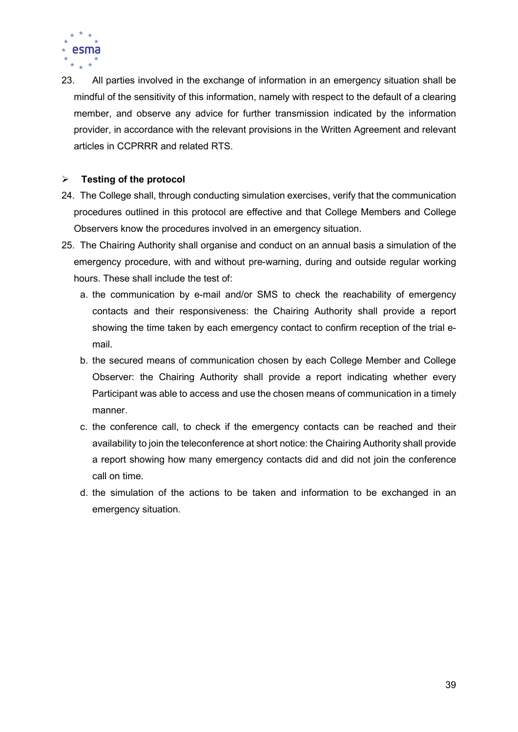

23. All parties involved in the exchange of information in an emergency situation shall be mindful of the sensitivity of this information, namely with respect to the default of a clearing member, and observe any advice for further transmission indicated by the information provider, in accordance with the relevant provisions in the Written Agreement and relevant articles in CCPRRR and related RTS.

### $\triangleright$  Testing of the protocol

- 24. The College shall, through conducting simulation exercises, verify that the communication procedures outlined in this protocol are effective and that College Members and College Observers know the procedures involved in an emergency situation.
- 25. The Chairing Authority shall organise and conduct on an annual basis a simulation of the emergency procedure, with and without pre-warning, during and outside regular working hours. These shall include the test of:
	- a. the communication by e-mail and/or SMS to check the reachability of emergency contacts and their responsiveness: the Chairing Authority shall provide a report showing the time taken by each emergency contact to confirm reception of the trial email.
	- b. the secured means of communication chosen by each College Member and College Observer: the Chairing Authority shall provide a report indicating whether every Participant was able to access and use the chosen means of communication in a timely manner.
	- c. the conference call, to check if the emergency contacts can be reached and their availability to join the teleconference at short notice: the Chairing Authority shall provide a report showing how many emergency contacts did and did not join the conference call on time.
	- d. the simulation of the actions to be taken and information to be exchanged in an emergency situation.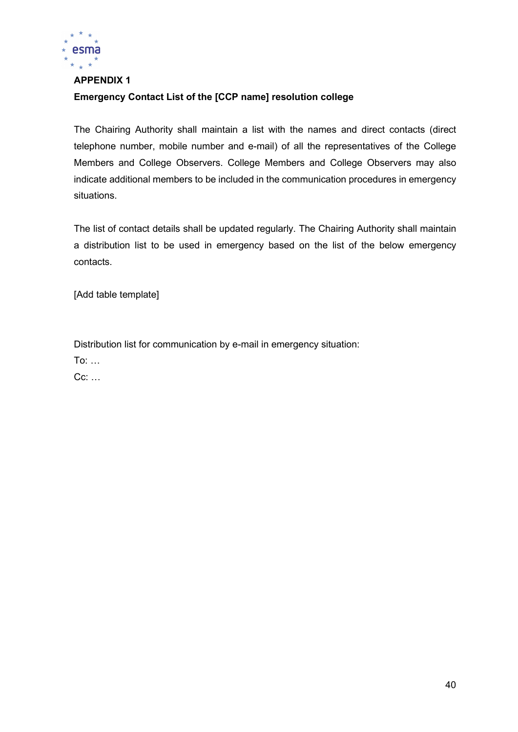

### APPENDIX 1

### Emergency Contact List of the [CCP name] resolution college

The Chairing Authority shall maintain a list with the names and direct contacts (direct telephone number, mobile number and e-mail) of all the representatives of the College Members and College Observers. College Members and College Observers may also indicate additional members to be included in the communication procedures in emergency situations.

The list of contact details shall be updated regularly. The Chairing Authority shall maintain a distribution list to be used in emergency based on the list of the below emergency contacts.

[Add table template]

Distribution list for communication by e-mail in emergency situation:

To: …

Cc: …